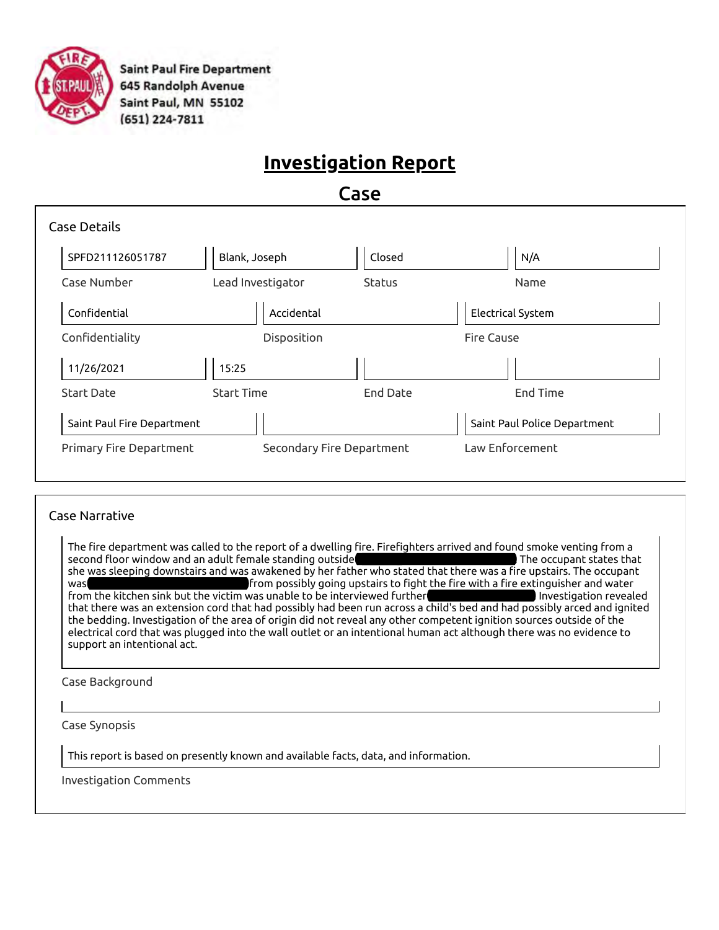

**Saint Paul Fire Department** 645 Randolph Avenue Saint Paul, MN 55102  $(651)$  224-7811

## **Investigation Report**

Case

| <b>Case Details</b>            |                   |                           |          |                              |
|--------------------------------|-------------------|---------------------------|----------|------------------------------|
| SPFD211126051787               | Blank, Joseph     |                           | Closed   | N/A                          |
| Case Number                    | Lead Investigator |                           | Status   | Name                         |
| Confidential                   |                   | Accidental                |          | Electrical System            |
| Confidentiality                |                   | Disposition               |          | <b>Fire Cause</b>            |
| 11/26/2021                     | 15:25             |                           |          |                              |
| <b>Start Date</b>              | <b>Start Time</b> |                           | End Date | <b>End Time</b>              |
| Saint Paul Fire Department     |                   |                           |          | Saint Paul Police Department |
| <b>Primary Fire Department</b> |                   | Secondary Fire Department |          | Law Enforcement              |
|                                |                   |                           |          |                              |

#### Case Narrative

The fire department was called to the report of a dwelling fire. Firefighters arrived and found smoke venting from a second floor window and an adult female standing outside suffering from smooth smooth in the occupant states that she was sleeping downstairs and was awakened by her father who stated that there was a fire upstairs. The occupant was suffering from possibly going upstairs to fight the fire with a fire extinguisher and water from the kitchen sink but the victim was unable to be interviewed further **due to meet and needs.** Investigation revealed that there was an extension cord that had possibly had been run across a child's bed and had possibly arced and ignited the bedding. Investigation of the area of origin did not reveal any other competent ignition sources outside of the electrical cord that was plugged into the wall outlet or an intentional human act although there was no evidence to support an intentional act.

Case Background

Case Synopsis

This report is based on presently known and available facts, data, and information.

Investigation Comments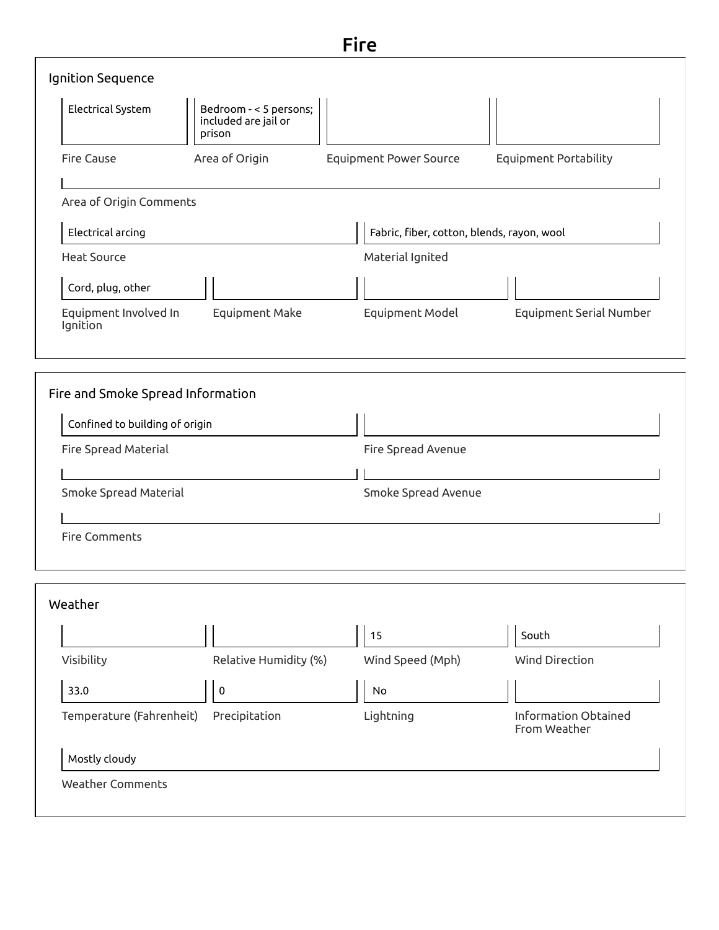|                                   |                                                          | <b>Fire</b>                                |                                |
|-----------------------------------|----------------------------------------------------------|--------------------------------------------|--------------------------------|
| Ignition Sequence                 |                                                          |                                            |                                |
| Electrical System                 | Bedroom - < 5 persons;<br>included are jail or<br>prison |                                            |                                |
| <b>Fire Cause</b>                 | Area of Origin                                           | <b>Equipment Power Source</b>              | <b>Equipment Portability</b>   |
| Area of Origin Comments           |                                                          |                                            |                                |
| Electrical arcing                 |                                                          | Fabric, fiber, cotton, blends, rayon, wool |                                |
| <b>Heat Source</b>                |                                                          | Material Ignited                           |                                |
| Cord, plug, other                 |                                                          |                                            |                                |
| Equipment Involved In<br>Ignition | Equipment Make                                           | Equipment Model                            | <b>Equipment Serial Number</b> |
|                                   |                                                          |                                            |                                |
| Fire and Smoke Spread Information |                                                          |                                            |                                |
|                                   |                                                          | $\mathbf{1}$                               |                                |

| Confined to building of origin |                     |  |
|--------------------------------|---------------------|--|
| Fire Spread Material           | Fire Spread Avenue  |  |
|                                |                     |  |
| Smoke Spread Material          | Smoke Spread Avenue |  |
|                                |                     |  |

|                          |                       | 15               | South                                |
|--------------------------|-----------------------|------------------|--------------------------------------|
| Visibility               | Relative Humidity (%) | Wind Speed (Mph) | <b>Wind Direction</b>                |
| 33.0                     | 0                     | <b>No</b>        |                                      |
| Temperature (Fahrenheit) | Precipitation         | Lightning        | Information Obtained<br>From Weather |
| Mostly cloudy            |                       |                  |                                      |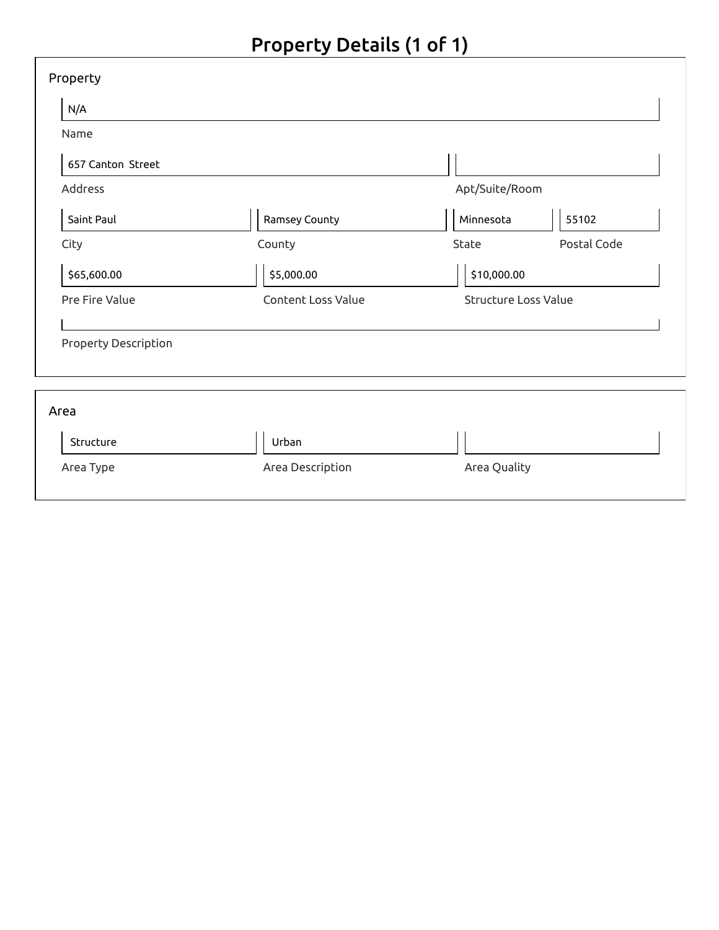# Property Details (1 of 1)

| Property             |                    |                      |             |
|----------------------|--------------------|----------------------|-------------|
| N/A                  |                    |                      |             |
| Name                 |                    |                      |             |
| 657 Canton Street    |                    |                      |             |
| Address              |                    | Apt/Suite/Room       |             |
| Saint Paul           | Ramsey County      | Minnesota            | 55102       |
| City                 | County             | State                | Postal Code |
| \$65,600.00          | \$5,000.00         | \$10,000.00          |             |
| Pre Fire Value       | Content Loss Value | Structure Loss Value |             |
| Property Description |                    |                      |             |
| Area                 |                    |                      |             |
| Structure            | Urban              |                      |             |
| Area Type            | Area Description   | Area Quality         |             |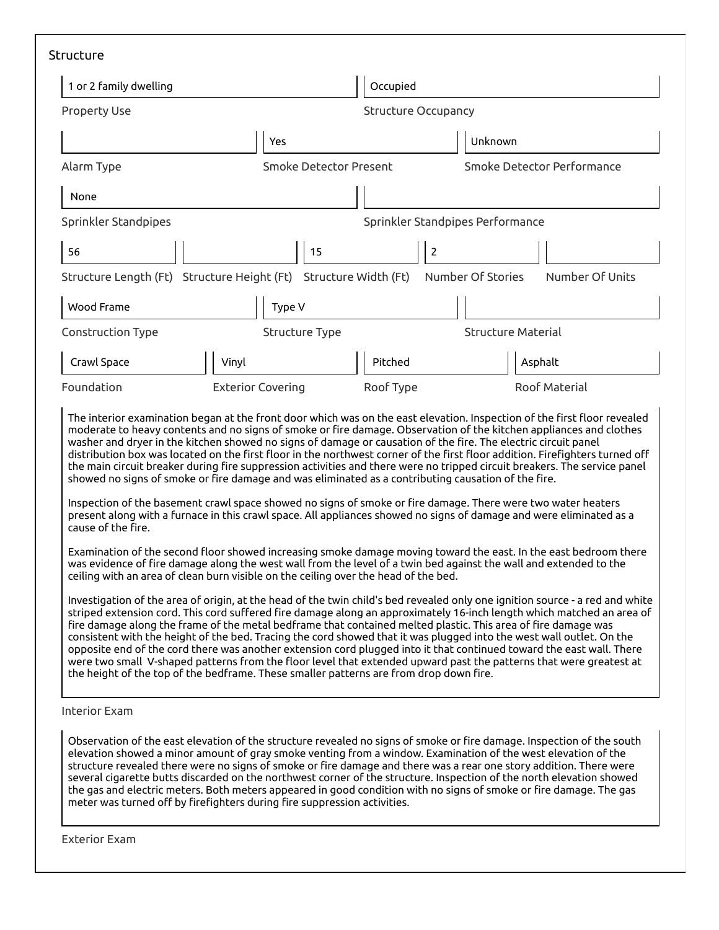|                      |                                                                                                                                                                                                                                                                                                                                                                                                                                                                                                                                                                                                                                                                                                                                                                                                                                        | Occupied                         |                                      |  |
|----------------------|----------------------------------------------------------------------------------------------------------------------------------------------------------------------------------------------------------------------------------------------------------------------------------------------------------------------------------------------------------------------------------------------------------------------------------------------------------------------------------------------------------------------------------------------------------------------------------------------------------------------------------------------------------------------------------------------------------------------------------------------------------------------------------------------------------------------------------------|----------------------------------|--------------------------------------|--|
| <b>Property Use</b>  |                                                                                                                                                                                                                                                                                                                                                                                                                                                                                                                                                                                                                                                                                                                                                                                                                                        | <b>Structure Occupancy</b>       |                                      |  |
|                      | Yes                                                                                                                                                                                                                                                                                                                                                                                                                                                                                                                                                                                                                                                                                                                                                                                                                                    |                                  | Unknown                              |  |
| Alarm Type           | Smoke Detector Present                                                                                                                                                                                                                                                                                                                                                                                                                                                                                                                                                                                                                                                                                                                                                                                                                 |                                  | Smoke Detector Performance           |  |
| None                 |                                                                                                                                                                                                                                                                                                                                                                                                                                                                                                                                                                                                                                                                                                                                                                                                                                        |                                  |                                      |  |
| Sprinkler Standpipes |                                                                                                                                                                                                                                                                                                                                                                                                                                                                                                                                                                                                                                                                                                                                                                                                                                        | Sprinkler Standpipes Performance |                                      |  |
| 56                   | 15                                                                                                                                                                                                                                                                                                                                                                                                                                                                                                                                                                                                                                                                                                                                                                                                                                     | $\overline{2}$                   |                                      |  |
|                      | Structure Length (Ft) Structure Height (Ft) Structure Width (Ft)                                                                                                                                                                                                                                                                                                                                                                                                                                                                                                                                                                                                                                                                                                                                                                       |                                  | Number Of Stories<br>Number Of Units |  |
| Wood Frame           | Type V                                                                                                                                                                                                                                                                                                                                                                                                                                                                                                                                                                                                                                                                                                                                                                                                                                 |                                  |                                      |  |
| Construction Type    | <b>Structure Type</b>                                                                                                                                                                                                                                                                                                                                                                                                                                                                                                                                                                                                                                                                                                                                                                                                                  |                                  | <b>Structure Material</b>            |  |
| Crawl Space          | Vinyl                                                                                                                                                                                                                                                                                                                                                                                                                                                                                                                                                                                                                                                                                                                                                                                                                                  | Pitched                          | Asphalt                              |  |
| Foundation           | <b>Exterior Covering</b>                                                                                                                                                                                                                                                                                                                                                                                                                                                                                                                                                                                                                                                                                                                                                                                                               | Roof Type                        | Roof Material                        |  |
| cause of the fire.   | the main circuit breaker during fire suppression activities and there were no tripped circuit breakers. The service panel<br>showed no signs of smoke or fire damage and was eliminated as a contributing causation of the fire.<br>Inspection of the basement crawl space showed no signs of smoke or fire damage. There were two water heaters<br>present along with a furnace in this crawl space. All appliances showed no signs of damage and were eliminated as a<br>Examination of the second floor showed increasing smoke damage moving toward the east. In the east bedroom there<br>was evidence of fire damage along the west wall from the level of a twin bed against the wall and extended to the<br>ceiling with an area of clean burn visible on the ceiling over the head of the bed.                                |                                  |                                      |  |
|                      | Investigation of the area of origin, at the head of the twin child's bed revealed only one ignition source - a red and white<br>striped extension cord. This cord suffered fire damage along an approximately 16-inch length which matched an area of<br>fire damage along the frame of the metal bedframe that contained melted plastic. This area of fire damage was<br>consistent with the height of the bed. Tracing the cord showed that it was plugged into the west wall outlet. On the<br>opposite end of the cord there was another extension cord plugged into it that continued toward the east wall. There<br>were two small V-shaped patterns from the floor level that extended upward past the patterns that were greatest at<br>the height of the top of the bedframe. These smaller patterns are from drop down fire. |                                  |                                      |  |
| <b>Interior Exam</b> |                                                                                                                                                                                                                                                                                                                                                                                                                                                                                                                                                                                                                                                                                                                                                                                                                                        |                                  |                                      |  |

Exterior Exam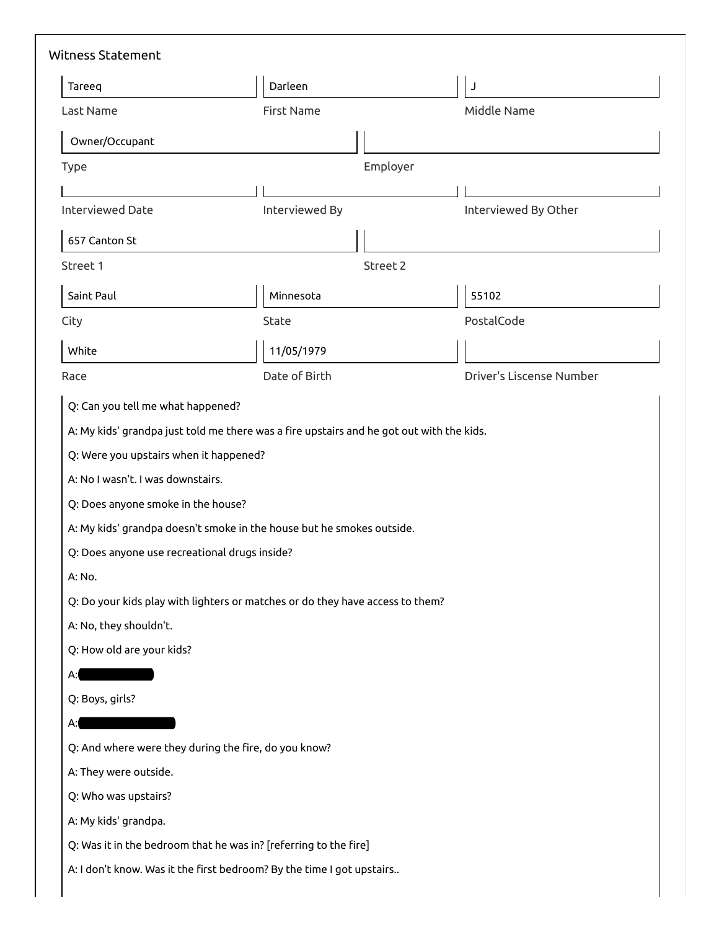| Tareeq                                                                                                                  | Darleen                                                                                                                                                | J                        |
|-------------------------------------------------------------------------------------------------------------------------|--------------------------------------------------------------------------------------------------------------------------------------------------------|--------------------------|
| Last Name                                                                                                               | <b>First Name</b>                                                                                                                                      | Middle Name              |
| Owner/Occupant                                                                                                          |                                                                                                                                                        |                          |
| <b>Type</b>                                                                                                             | Employer                                                                                                                                               |                          |
|                                                                                                                         |                                                                                                                                                        |                          |
| <b>Interviewed Date</b>                                                                                                 | Interviewed By                                                                                                                                         | Interviewed By Other     |
| 657 Canton St                                                                                                           |                                                                                                                                                        |                          |
| Street 1                                                                                                                | Street 2                                                                                                                                               |                          |
| Saint Paul                                                                                                              | Minnesota                                                                                                                                              | 55102                    |
| City                                                                                                                    | State                                                                                                                                                  | PostalCode               |
| White                                                                                                                   | 11/05/1979                                                                                                                                             |                          |
| Race                                                                                                                    | Date of Birth                                                                                                                                          | Driver's Liscense Number |
| Q: Were you upstairs when it happened?<br>A: No I wasn't. I was downstairs.                                             |                                                                                                                                                        |                          |
| Q: Does anyone smoke in the house?<br>Q: Does anyone use recreational drugs inside?<br>A: No.<br>A: No, they shouldn't. | A: My kids' grandpa doesn't smoke in the house but he smokes outside.<br>Q: Do your kids play with lighters or matches or do they have access to them? |                          |
| Q: How old are your kids?<br>А:                                                                                         |                                                                                                                                                        |                          |
| Q: Boys, girls?                                                                                                         |                                                                                                                                                        |                          |
| А:                                                                                                                      |                                                                                                                                                        |                          |
|                                                                                                                         | Q: And where were they during the fire, do you know?                                                                                                   |                          |
| A: They were outside.                                                                                                   |                                                                                                                                                        |                          |
| Q: Who was upstairs?                                                                                                    |                                                                                                                                                        |                          |
| A: My kids' grandpa.                                                                                                    |                                                                                                                                                        |                          |
|                                                                                                                         | Q: Was it in the bedroom that he was in? [referring to the fire]                                                                                       |                          |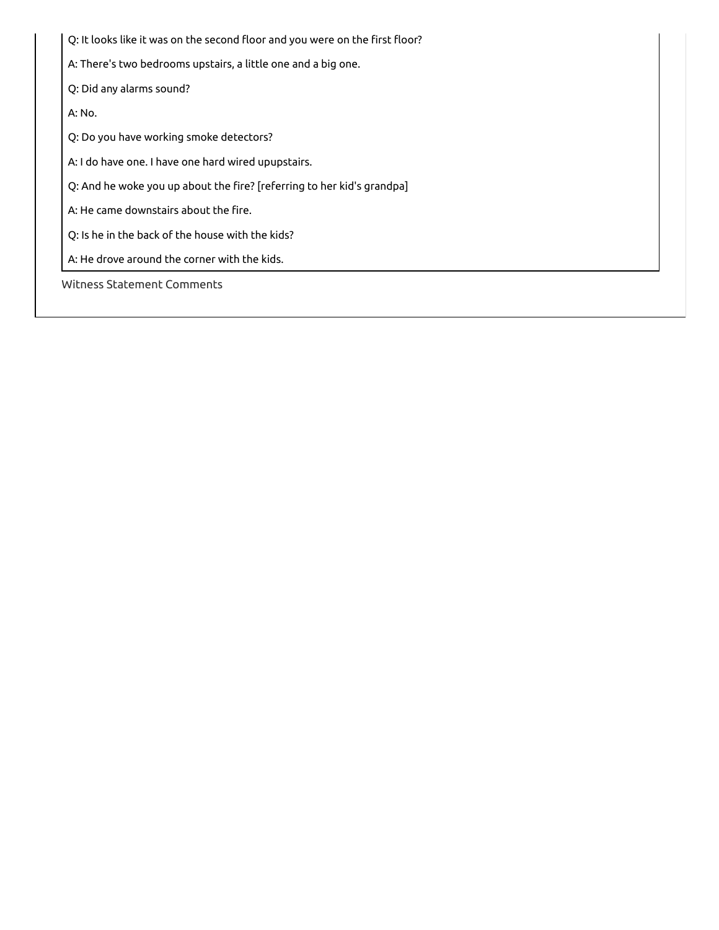Q: It looks like it was on the second floor and you were on the first floor? A: There's two bedrooms upstairs, a little one and a big one. Q: Did any alarms sound? A: No. Q: Do you have working smoke detectors? A: I do have one. I have one hard wired upupstairs. Q: And he woke you up about the fire? [referring to her kid's grandpa] A: He came downstairs about the fire. Q: Is he in the back of the house with the kids? A: He drove around the corner with the kids. Witness Statement Comments